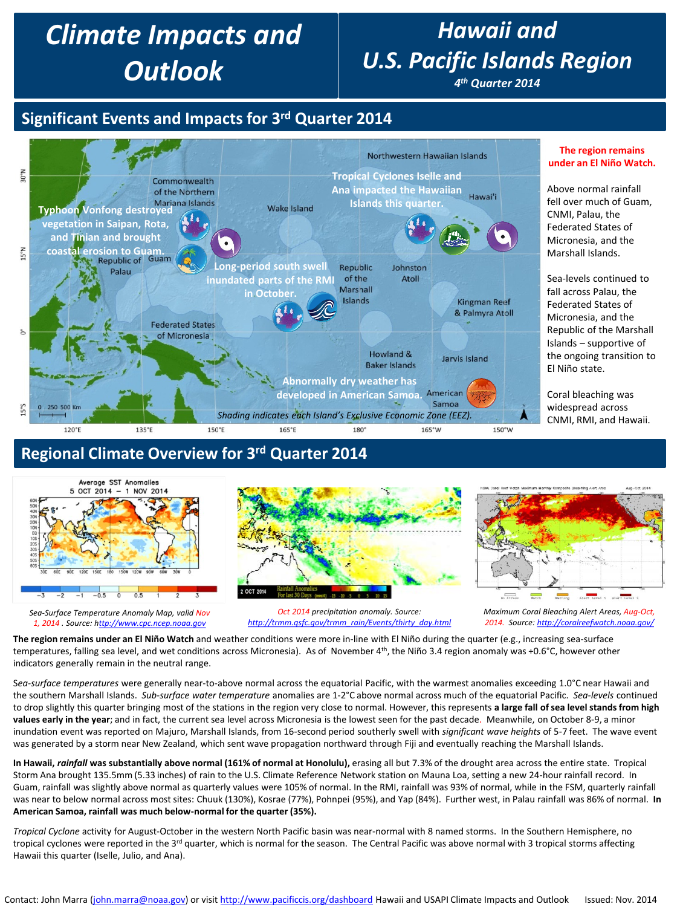# *Climate Impacts and Outlook*

## *Hawaii and U.S. Pacific Islands Region*

*4th Quarter 2014*

## **Significant Events and Impacts for 3rd Quarter 2014**



#### **Regional Climate Overview for 3rd Quarter 2014**



*Sea-Surface Temperature Anomaly Map, valid Nov 1, 2014 . Source: h[ttp://www.cpc.ncep.noaa.gov](http://www.cpc.ncep.noaa.gov/)*



*Oct 2014 precipitation anomaly. Source: [http://trmm.qsfc.gov/trmm\\_rain/Events/thirty\\_day.html](http://trmm.qsfc.gov/trmm_rain/Events/thirty_day.html)*



**The region remains** 

**The region remains under an El Niño Watch** and weather conditions were more in-line with El Niño during the quarter (e.g., increasing sea-surface temperatures, falling sea level, and wet conditions across Micronesia). As of November 4<sup>th</sup>, the Niño 3.4 region anomaly was +0.6°C, however other indicators generally remain in the neutral range.

S*ea-surface temperatures* were generally near-to-above normal across the equatorial Pacific, with the warmest anomalies exceeding 1.0°C near Hawaii and the southern Marshall Islands. *Sub-surface water temperature* anomalies are 1-2°C above normal across much of the equatorial Pacific. *Sea-levels* continued to drop slightly this quarter bringing most of the stations in the region very close to normal. However, this represents **a large fall of sea level stands from high values early in the year**; and in fact, the current sea level across Micronesia is the lowest seen for the past decade. Meanwhile, on October 8-9, a minor inundation event was reported on Majuro, Marshall Islands, from 16-second period southerly swell with *significant wave heights* of 5-7 feet. The wave event was generated by a storm near New Zealand, which sent wave propagation northward through Fiji and eventually reaching the Marshall Islands.

**In Hawaii,** *rainfall* **was substantially above normal (161% of normal at Honolulu),** erasing all but 7.3% of the drought area across the entire state. Tropical Storm Ana brought 135.5mm (5.33 inches) of rain to the U.S. Climate Reference Network station on Mauna Loa, setting a new 24-hour rainfall record. In Guam, rainfall was slightly above normal as quarterly values were 105% of normal. In the RMI, rainfall was 93% of normal, while in the FSM, quarterly rainfall was near to below normal across most sites: Chuuk (130%), Kosrae (77%), Pohnpei (95%), and Yap (84%). Further west, in Palau rainfall was 86% of normal. **In American Samoa, rainfall was much below-normal for the quarter (35%).**

*Tropical Cyclone* activity for August-October in the western North Pacific basin was near-normal with 8 named storms. In the Southern Hemisphere, no tropical cyclones were reported in the 3<sup>rd</sup> quarter, which is normal for the season. The Central Pacific was above normal with 3 tropical storms affecting Hawaii this quarter (Iselle, Julio, and Ana).

*Maximum Coral Bleaching Alert Areas, Aug-Oct, 2014. Source: <http://coralreefwatch.noaa.gov/>*